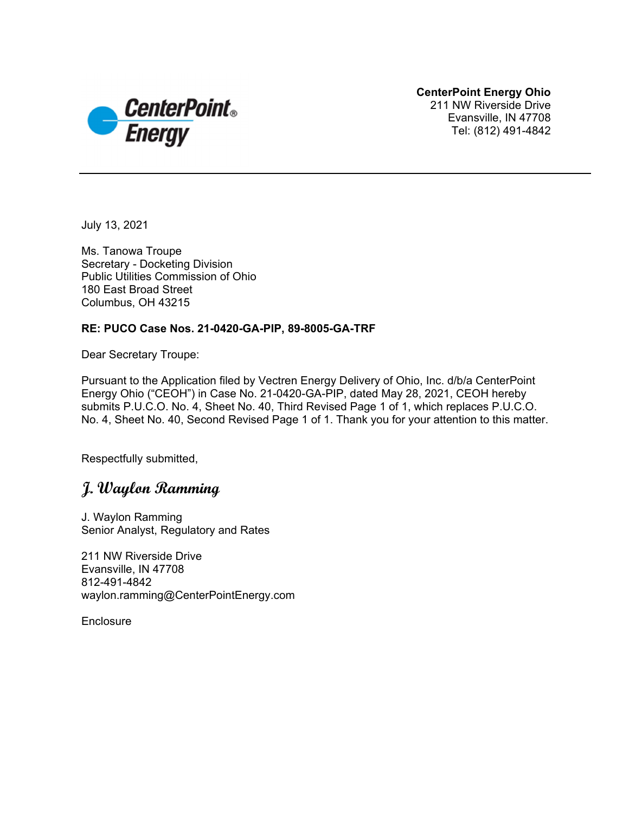

**CenterPoint Energy Ohio**  211 NW Riverside Drive Evansville, IN 47708 Tel: (812) 491-4842

July 13, 2021

Ms. Tanowa Troupe Secretary - Docketing Division Public Utilities Commission of Ohio 180 East Broad Street Columbus, OH 43215

#### **RE: PUCO Case Nos. 21-0420-GA-PIP, 89-8005-GA-TRF**

Dear Secretary Troupe:

Pursuant to the Application filed by Vectren Energy Delivery of Ohio, Inc. d/b/a CenterPoint Energy Ohio ("CEOH") in Case No. 21-0420-GA-PIP, dated May 28, 2021, CEOH hereby submits P.U.C.O. No. 4, Sheet No. 40, Third Revised Page 1 of 1, which replaces P.U.C.O. No. 4, Sheet No. 40, Second Revised Page 1 of 1. Thank you for your attention to this matter.

Respectfully submitted,

## **J. Waylon Ramming**

J. Waylon Ramming Senior Analyst, Regulatory and Rates

211 NW Riverside Drive Evansville, IN 47708 812-491-4842 waylon.ramming@CenterPointEnergy.com

**Enclosure**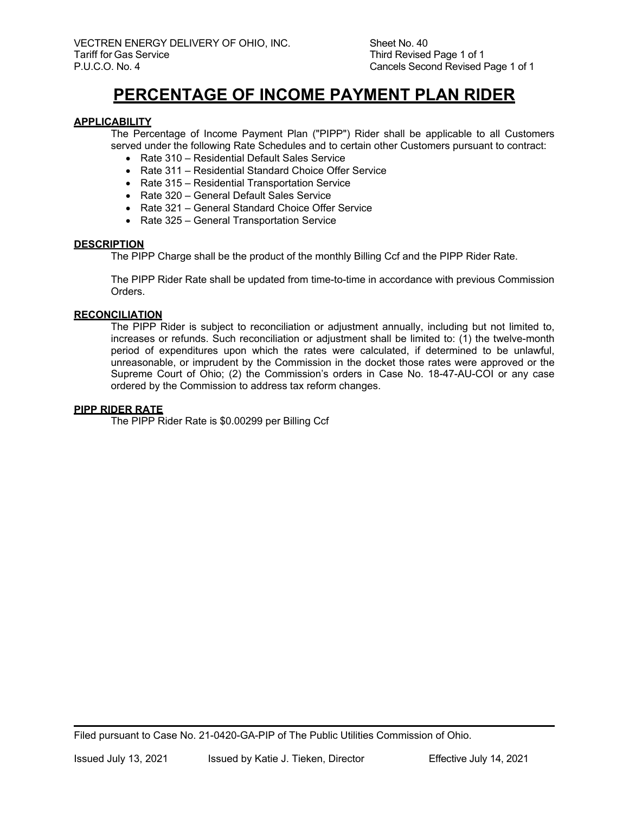# **PERCENTAGE OF INCOME PAYMENT PLAN RIDER**

#### **APPLICABILITY**

The Percentage of Income Payment Plan ("PIPP") Rider shall be applicable to all Customers served under the following Rate Schedules and to certain other Customers pursuant to contract:

- Rate 310 Residential Default Sales Service
- Rate 311 Residential Standard Choice Offer Service
- Rate 315 Residential Transportation Service
- Rate 320 General Default Sales Service
- Rate 321 General Standard Choice Offer Service
- Rate 325 General Transportation Service

#### **DESCRIPTION**

The PIPP Charge shall be the product of the monthly Billing Ccf and the PIPP Rider Rate.

The PIPP Rider Rate shall be updated from time-to-time in accordance with previous Commission Orders.

#### **RECONCILIATION**

The PIPP Rider is subject to reconciliation or adjustment annually, including but not limited to, increases or refunds. Such reconciliation or adjustment shall be limited to: (1) the twelve-month period of expenditures upon which the rates were calculated, if determined to be unlawful, unreasonable, or imprudent by the Commission in the docket those rates were approved or the Supreme Court of Ohio; (2) the Commission's orders in Case No. 18-47-AU-COI or any case ordered by the Commission to address tax reform changes.

#### **PIPP RIDER RATE**

The PIPP Rider Rate is \$0.00299 per Billing Ccf